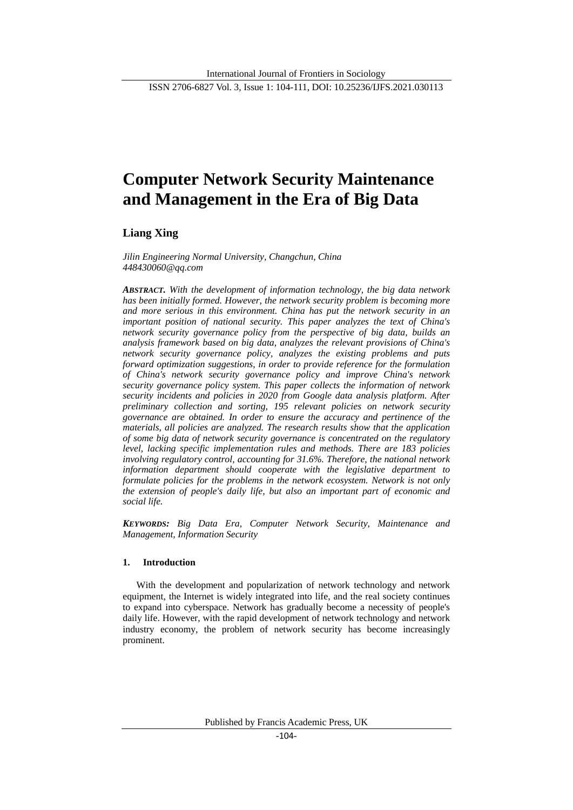ISSN 2706-6827 Vol. 3, Issue 1: 104-111, DOI: 10.25236/IJFS.2021.030113

# **Computer Network Security Maintenance and Management in the Era of Big Data**

**Liang Xing**

*Jilin Engineering Normal University, Changchun, China 448430060@qq.com*

*ABSTRACT. With the development of information technology, the big data network has been initially formed. However, the network security problem is becoming more and more serious in this environment. China has put the network security in an important position of national security. This paper analyzes the text of China's network security governance policy from the perspective of big data, builds an analysis framework based on big data, analyzes the relevant provisions of China's network security governance policy, analyzes the existing problems and puts forward optimization suggestions, in order to provide reference for the formulation of China's network security governance policy and improve China's network security governance policy system. This paper collects the information of network security incidents and policies in 2020 from Google data analysis platform. After preliminary collection and sorting, 195 relevant policies on network security governance are obtained. In order to ensure the accuracy and pertinence of the materials, all policies are analyzed. The research results show that the application of some big data of network security governance is concentrated on the regulatory level, lacking specific implementation rules and methods. There are 183 policies involving regulatory control, accounting for 31.6%. Therefore, the national network information department should cooperate with the legislative department to formulate policies for the problems in the network ecosystem. Network is not only the extension of people's daily life, but also an important part of economic and social life.*

*KEYWORDS: Big Data Era, Computer Network Security, Maintenance and Management, Information Security*

# **1. Introduction**

With the development and popularization of network technology and network equipment, the Internet is widely integrated into life, and the real society continues to expand into cyberspace. Network has gradually become a necessity of people's daily life. However, with the rapid development of network technology and network industry economy, the problem of network security has become increasingly prominent.

Published by Francis Academic Press, UK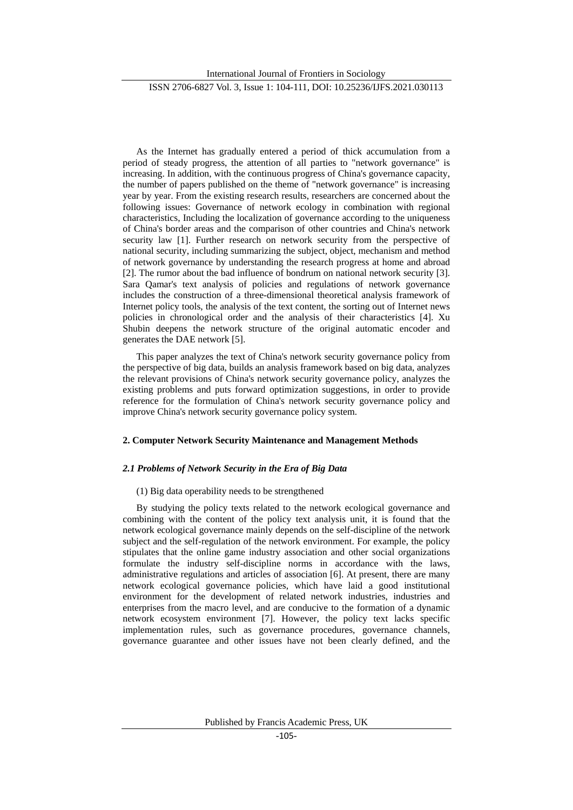International Journal of Frontiers in Sociology

ISSN 2706-6827 Vol. 3, Issue 1: 104-111, DOI: 10.25236/IJFS.2021.030113

As the Internet has gradually entered a period of thick accumulation from a period of steady progress, the attention of all parties to "network governance" is increasing. In addition, with the continuous progress of China's governance capacity, the number of papers published on the theme of "network governance" is increasing year by year. From the existing research results, researchers are concerned about the following issues: Governance of network ecology in combination with regional characteristics, Including the localization of governance according to the uniqueness of China's border areas and the comparison of other countries and China's network security law [1]. Further research on network security from the perspective of national security, including summarizing the subject, object, mechanism and method of network governance by understanding the research progress at home and abroad [2]. The rumor about the bad influence of bondrum on national network security [3]. Sara Qamar's text analysis of policies and regulations of network governance includes the construction of a three-dimensional theoretical analysis framework of Internet policy tools, the analysis of the text content, the sorting out of Internet news policies in chronological order and the analysis of their characteristics [4]. Xu Shubin deepens the network structure of the original automatic encoder and generates the DAE network [5].

This paper analyzes the text of China's network security governance policy from the perspective of big data, builds an analysis framework based on big data, analyzes the relevant provisions of China's network security governance policy, analyzes the existing problems and puts forward optimization suggestions, in order to provide reference for the formulation of China's network security governance policy and improve China's network security governance policy system.

### **2. Computer Network Security Maintenance and Management Methods**

# *2.1 Problems of Network Security in the Era of Big Data*

# (1) Big data operability needs to be strengthened

By studying the policy texts related to the network ecological governance and combining with the content of the policy text analysis unit, it is found that the network ecological governance mainly depends on the self-discipline of the network subject and the self-regulation of the network environment. For example, the policy stipulates that the online game industry association and other social organizations formulate the industry self-discipline norms in accordance with the laws, administrative regulations and articles of association [6]. At present, there are many network ecological governance policies, which have laid a good institutional environment for the development of related network industries, industries and enterprises from the macro level, and are conducive to the formation of a dynamic network ecosystem environment [7]. However, the policy text lacks specific implementation rules, such as governance procedures, governance channels, governance guarantee and other issues have not been clearly defined, and the

Published by Francis Academic Press, UK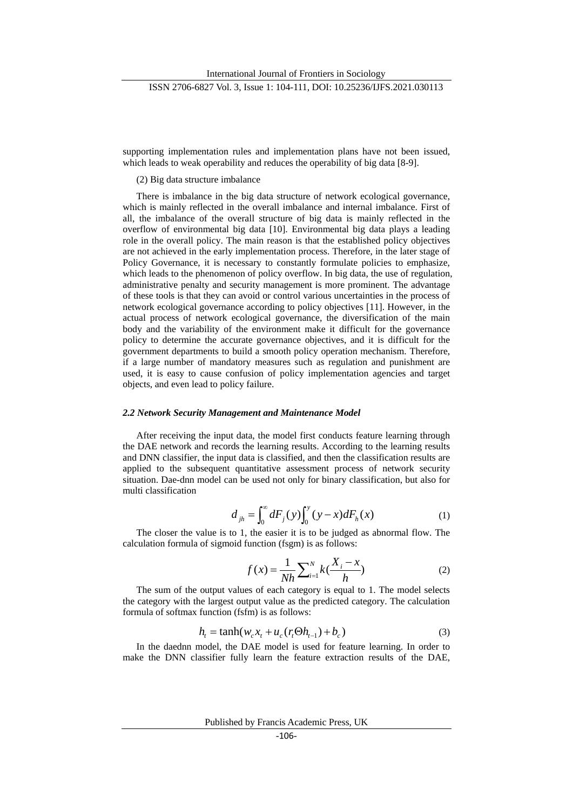supporting implementation rules and implementation plans have not been issued, which leads to weak operability and reduces the operability of big data [8-9].

(2) Big data structure imbalance

There is imbalance in the big data structure of network ecological governance, which is mainly reflected in the overall imbalance and internal imbalance. First of all, the imbalance of the overall structure of big data is mainly reflected in the overflow of environmental big data [10]. Environmental big data plays a leading role in the overall policy. The main reason is that the established policy objectives are not achieved in the early implementation process. Therefore, in the later stage of Policy Governance, it is necessary to constantly formulate policies to emphasize, which leads to the phenomenon of policy overflow. In big data, the use of regulation, administrative penalty and security management is more prominent. The advantage of these tools is that they can avoid or control various uncertainties in the process of network ecological governance according to policy objectives [11]. However, in the actual process of network ecological governance, the diversification of the main body and the variability of the environment make it difficult for the governance policy to determine the accurate governance objectives, and it is difficult for the government departments to build a smooth policy operation mechanism. Therefore, if a large number of mandatory measures such as regulation and punishment are used, it is easy to cause confusion of policy implementation agencies and target objects, and even lead to policy failure.

#### *2.2 Network Security Management and Maintenance Model*

After receiving the input data, the model first conducts feature learning through the DAE network and records the learning results. According to the learning results and DNN classifier, the input data is classified, and then the classification results are applied to the subsequent quantitative assessment process of network security situation. Dae-dnn model can be used not only for binary classification, but also for multi classification

$$
d_{jh} = \int_0^\infty dF_j(y) \int_0^y (y - x) dF_h(x) \tag{1}
$$

The closer the value is to 1, the easier it is to be judged as abnormal flow. The calculation formula of sigmoid function (fsgm) is as follows:

$$
f(x) = \frac{1}{Nh} \sum_{i=1}^{N} k(\frac{X_i - x}{h})
$$
 (2)

The sum of the output values of each category is equal to 1. The model selects the category with the largest output value as the predicted category. The calculation formula of softmax function (fsfm) is as follows:

$$
h_t = \tanh(w_c x_t + u_c(r_t \Theta h_{t-1}) + b_c)
$$
\n(3)

In the daednn model, the DAE model is used for feature learning. In order to make the DNN classifier fully learn the feature extraction results of the DAE,

Published by Francis Academic Press, UK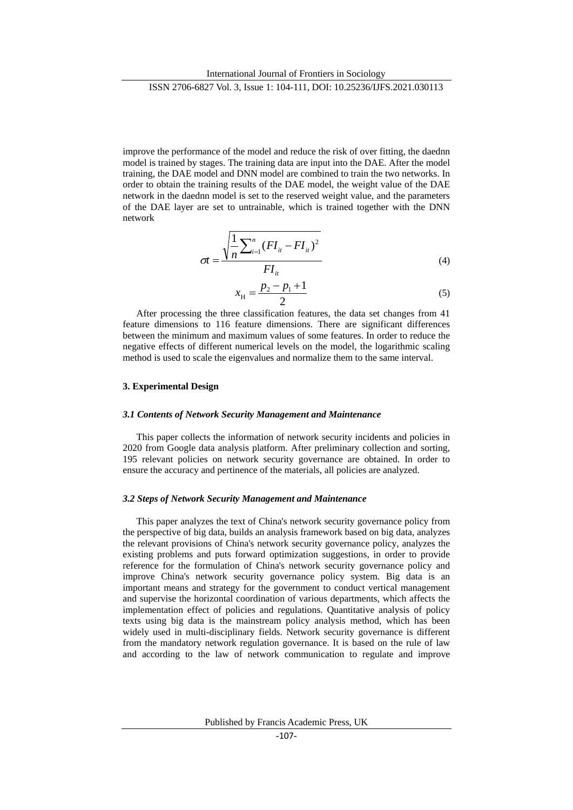improve the performance of the model and reduce the risk of over fitting, the daednn model is trained by stages. The training data are input into the DAE. After the model training, the DAE model and DNN model are combined to train the two networks. In order to obtain the training results of the DAE model, the weight value of the DAE network in the daednn model is set to the reserved weight value, and the parameters of the DAE layer are set to untrainable, which is trained together with the DNN network

$$
\sigma t = \frac{\sqrt{\frac{1}{n} \sum_{i=1}^{n} (FI_{it} - FI_{it})^2}}{FI_{it}}
$$
(4)

$$
x_{\rm H} = \frac{p_2 - p_1 + 1}{2} \tag{5}
$$

After processing the three classification features, the data set changes from 41 feature dimensions to 116 feature dimensions. There are significant differences between the minimum and maximum values of some features. In order to reduce the negative effects of different numerical levels on the model, the logarithmic scaling method is used to scale the eigenvalues and normalize them to the same interval.

# **3. Experimental Design**

#### *3.1 Contents of Network Security Management and Maintenance*

This paper collects the information of network security incidents and policies in 2020 from Google data analysis platform. After preliminary collection and sorting, 195 relevant policies on network security governance are obtained. In order to ensure the accuracy and pertinence of the materials, all policies are analyzed.

#### *3.2 Steps of Network Security Management and Maintenance*

This paper analyzes the text of China's network security governance policy from the perspective of big data, builds an analysis framework based on big data, analyzes the relevant provisions of China's network security governance policy, analyzes the existing problems and puts forward optimization suggestions, in order to provide reference for the formulation of China's network security governance policy and improve China's network security governance policy system. Big data is an important means and strategy for the government to conduct vertical management and supervise the horizontal coordination of various departments, which affects the implementation effect of policies and regulations. Quantitative analysis of policy texts using big data is the mainstream policy analysis method, which has been widely used in multi-disciplinary fields. Network security governance is different from the mandatory network regulation governance. It is based on the rule of law and according to the law of network communication to regulate and improve

Published by Francis Academic Press, UK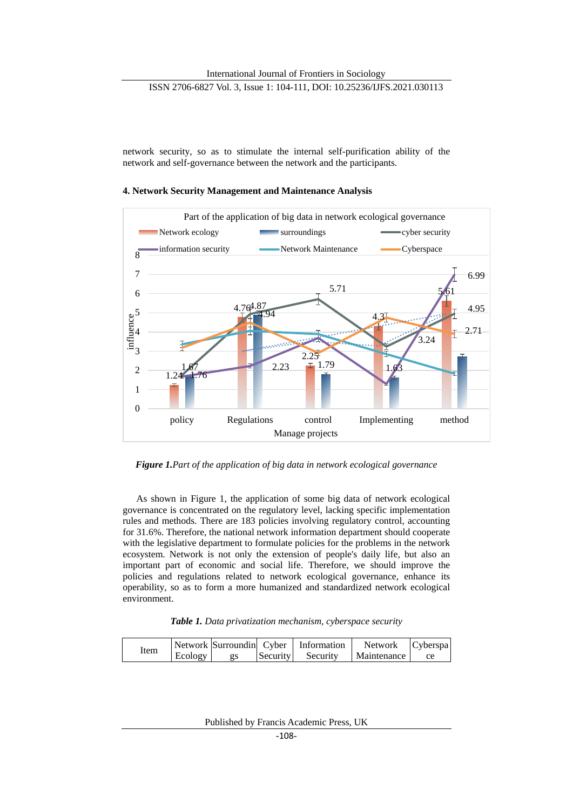# ISSN 2706-6827 Vol. 3, Issue 1: 104-111, DOI: 10.25236/IJFS.2021.030113

network security, so as to stimulate the internal self-purification ability of the network and self-governance between the network and the participants.

# **4. Network Security Management and Maintenance Analysis**



*Figure 1.Part of the application of big data in network ecological governance*

As shown in Figure 1, the application of some big data of network ecological governance is concentrated on the regulatory level, lacking specific implementation rules and methods. There are 183 policies involving regulatory control, accounting for 31.6%. Therefore, the national network information department should cooperate with the legislative department to formulate policies for the problems in the network ecosystem. Network is not only the extension of people's daily life, but also an important part of economic and social life. Therefore, we should improve the policies and regulations related to network ecological governance, enhance its operability, so as to form a more humanized and standardized network ecological environment.

*Table 1. Data privatization mechanism, cyberspace security*

| Item |         |                 |          | Network Surroundin Cyber   Information   Network   Cyberspa |      |
|------|---------|-----------------|----------|-------------------------------------------------------------|------|
|      | Ecology | $\overline{2S}$ | Security | Security   Maintenance                                      | - ce |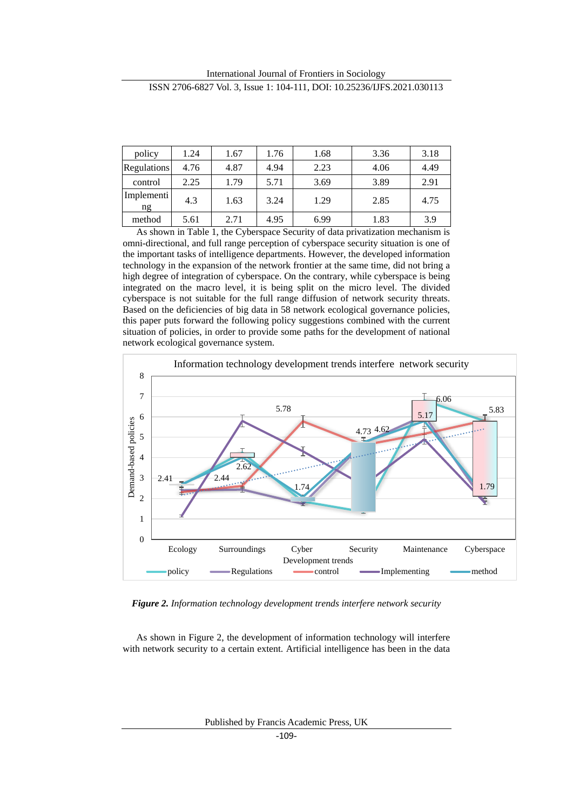International Journal of Frontiers in Sociology ISSN 2706-6827 Vol. 3, Issue 1: 104-111, DOI: 10.25236/IJFS.2021.030113

| policy           | 1.24 | 1.67 | 1.76 | 1.68 | 3.36 | 3.18 |
|------------------|------|------|------|------|------|------|
| Regulations      | 4.76 | 4.87 | 4.94 | 2.23 | 4.06 | 4.49 |
| control          | 2.25 | 1.79 | 5.71 | 3.69 | 3.89 | 2.91 |
| Implementi<br>ng | 4.3  | 1.63 | 3.24 | 1.29 | 2.85 | 4.75 |
| method           | 5.61 | 2.71 | 4.95 | 6.99 | 1.83 | 3.9  |

As shown in Table 1, the Cyberspace Security of data privatization mechanism is omni-directional, and full range perception of cyberspace security situation is one of the important tasks of intelligence departments. However, the developed information technology in the expansion of the network frontier at the same time, did not bring a high degree of integration of cyberspace. On the contrary, while cyberspace is being integrated on the macro level, it is being split on the micro level. The divided cyberspace is not suitable for the full range diffusion of network security threats. Based on the deficiencies of big data in 58 network ecological governance policies, this paper puts forward the following policy suggestions combined with the current situation of policies, in order to provide some paths for the development of national network ecological governance system.



*Figure 2. Information technology development trends interfere network security*

As shown in Figure 2, the development of information technology will interfere with network security to a certain extent. Artificial intelligence has been in the data

Published by Francis Academic Press, UK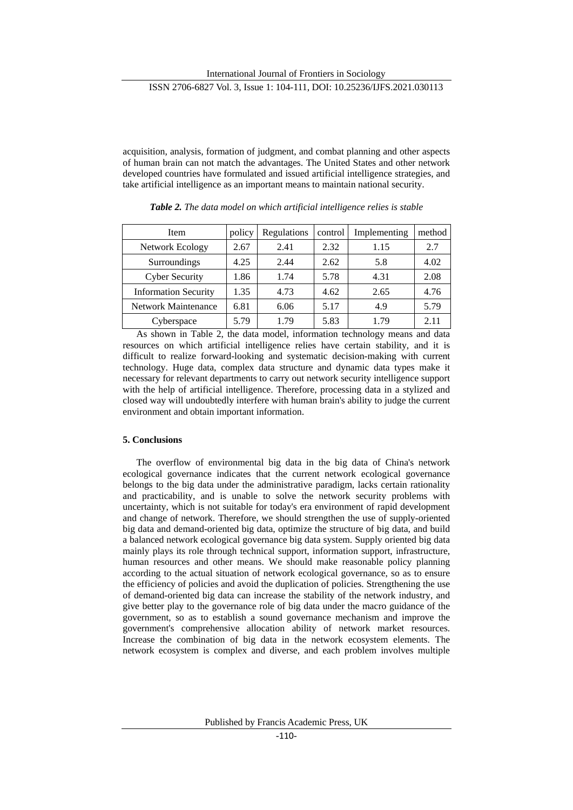# ISSN 2706-6827 Vol. 3, Issue 1: 104-111, DOI: 10.25236/IJFS.2021.030113

acquisition, analysis, formation of judgment, and combat planning and other aspects of human brain can not match the advantages. The United States and other network developed countries have formulated and issued artificial intelligence strategies, and take artificial intelligence as an important means to maintain national security.

| Item                        | policy | Regulations | control | Implementing | method |
|-----------------------------|--------|-------------|---------|--------------|--------|
| Network Ecology             | 2.67   | 2.41        | 2.32    | 1.15         | 2.7    |
| Surroundings                | 4.25   | 2.44        | 2.62    | 5.8          | 4.02   |
| <b>Cyber Security</b>       | 1.86   | 1.74        | 5.78    | 4.31         | 2.08   |
| <b>Information Security</b> | 1.35   | 4.73        | 4.62    | 2.65         | 4.76   |
| <b>Network Maintenance</b>  | 6.81   | 6.06        | 5.17    | 4.9          | 5.79   |
| Cyberspace                  | 5.79   | 1.79        | 5.83    | 1.79         | 2.11   |

*Table 2. The data model on which artificial intelligence relies is stable*

As shown in Table 2, the data model, information technology means and data resources on which artificial intelligence relies have certain stability, and it is difficult to realize forward-looking and systematic decision-making with current technology. Huge data, complex data structure and dynamic data types make it necessary for relevant departments to carry out network security intelligence support with the help of artificial intelligence. Therefore, processing data in a stylized and closed way will undoubtedly interfere with human brain's ability to judge the current environment and obtain important information.

# **5. Conclusions**

The overflow of environmental big data in the big data of China's network ecological governance indicates that the current network ecological governance belongs to the big data under the administrative paradigm, lacks certain rationality and practicability, and is unable to solve the network security problems with uncertainty, which is not suitable for today's era environment of rapid development and change of network. Therefore, we should strengthen the use of supply-oriented big data and demand-oriented big data, optimize the structure of big data, and build a balanced network ecological governance big data system. Supply oriented big data mainly plays its role through technical support, information support, infrastructure, human resources and other means. We should make reasonable policy planning according to the actual situation of network ecological governance, so as to ensure the efficiency of policies and avoid the duplication of policies. Strengthening the use of demand-oriented big data can increase the stability of the network industry, and give better play to the governance role of big data under the macro guidance of the government, so as to establish a sound governance mechanism and improve the government's comprehensive allocation ability of network market resources. Increase the combination of big data in the network ecosystem elements. The network ecosystem is complex and diverse, and each problem involves multiple

Published by Francis Academic Press, UK